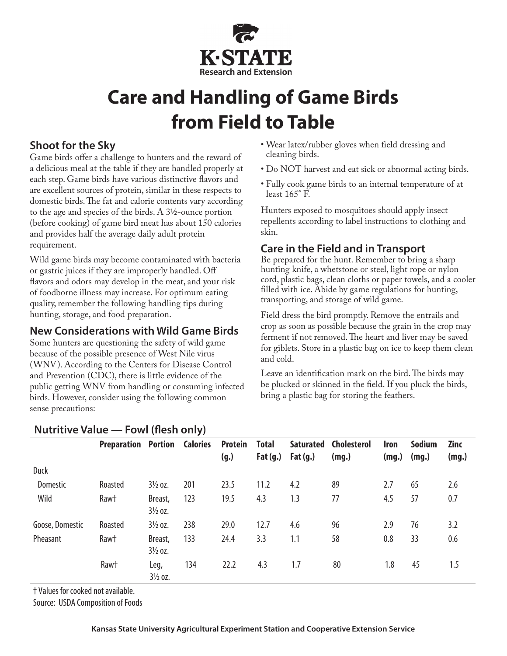

# **Care and Handling of Game Birds from Field to Table**

## **Shoot for the Sky**

Game birds offer a challenge to hunters and the reward of a delicious meal at the table if they are handled properly at each step. Game birds have various distinctive flavors and are excellent sources of protein, similar in these respects to domestic birds. The fat and calorie contents vary according to the age and species of the birds. A 31/2-ounce portion (before cooking) of game bird meat has about 150 calories and provides half the average daily adult protein requirement.

Wild game birds may become contaminated with bacteria or gastric juices if they are improperly handled. Off flavors and odors may develop in the meat, and your risk of foodborne illness may increase. For optimum eating quality, remember the following handling tips during hunting, storage, and food preparation.

### **New Considerations with Wild Game Birds**

Some hunters are questioning the safety of wild game because of the possible presence of West Nile virus (WNV). According to the Centers for Disease Control and Prevention (CDC), there is little evidence of the public getting WNV from handling or consuming infected birds. However, consider using the following common sense precautions:

- Wear latex/rubber gloves when field dressing and cleaning birds.
- Do NOT harvest and eat sick or abnormal acting birds.
- Fully cook game birds to an internal temperature of at least 165° F.

Hunters exposed to mosquitoes should apply insect repellents according to label instructions to clothing and skin.

# **Care in the Field and in Transport**

Be prepared for the hunt. Remember to bring a sharp hunting knife, a whetstone or steel, light rope or nylon cord, plastic bags, clean cloths or paper towels, and a cooler filled with ice. Abide by game regulations for hunting, transporting, and storage of wild game.

Field dress the bird promptly. Remove the entrails and crop as soon as possible because the grain in the crop may ferment if not removed. The heart and liver may be saved for giblets. Store in a plastic bag on ice to keep them clean and cold.

Leave an identification mark on the bird. The birds may be plucked or skinned in the field. If you pluck the birds, bring a plastic bag for storing the feathers.

| $\frac{1}{2}$   |                                     |                               |     |                        |                            |                                |                             |                      |                        |                      |
|-----------------|-------------------------------------|-------------------------------|-----|------------------------|----------------------------|--------------------------------|-----------------------------|----------------------|------------------------|----------------------|
|                 | <b>Preparation Portion Calories</b> |                               |     | <b>Protein</b><br>(g.) | <b>Total</b><br>Fat $(g.)$ | <b>Saturated</b><br>Fat $(g.)$ | <b>Cholesterol</b><br>(mg.) | <b>Iron</b><br>(mg.) | <b>Sodium</b><br>(mg.) | <b>Zinc</b><br>(mg.) |
| <b>Duck</b>     |                                     |                               |     |                        |                            |                                |                             |                      |                        |                      |
| Domestic        | Roasted                             | $3\frac{1}{2}$ oz.            | 201 | 23.5                   | 11.2                       | 4.2                            | 89                          | 2.7                  | 65                     | 2.6                  |
| Wild            | Raw†                                | Breast,<br>$3\frac{1}{2}$ oz. | 123 | 19.5                   | 4.3                        | 1.3                            | 77                          | 4.5                  | 57                     | 0.7                  |
| Goose, Domestic | Roasted                             | $3\frac{1}{2}$ oz.            | 238 | 29.0                   | 12.7                       | 4.6                            | 96                          | 2.9                  | 76                     | 3.2                  |
| Pheasant        | Raw†                                | Breast,<br>$3\frac{1}{2}$ oz. | 133 | 24.4                   | 3.3                        | 1.1                            | 58                          | 0.8                  | 33                     | 0.6                  |
|                 | Raw†                                | Leg,<br>$3\frac{1}{2}$ oz.    | 134 | 22.2                   | 4.3                        | 1.7                            | 80                          | 1.8                  | 45                     | 1.5                  |

**Nutritive Value — Fowl (flesh only)**

† Values for cooked not available.

Source: USDA Composition of Foods